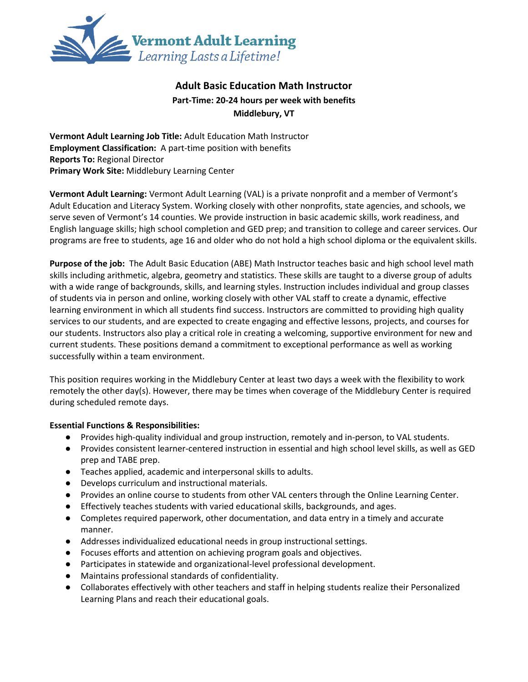

# **Adult Basic Education Math Instructor Part-Time: 20-24 hours per week with benefits Middlebury, VT**

**Vermont Adult Learning Job Title:** Adult Education Math Instructor **Employment Classification:** A part-time position with benefits **Reports To:** Regional Director **Primary Work Site:** Middlebury Learning Center

**Vermont Adult Learning:** Vermont Adult Learning (VAL) is a private nonprofit and a member of Vermont's Adult Education and Literacy System. Working closely with other nonprofits, state agencies, and schools, we serve seven of Vermont's 14 counties. We provide instruction in basic academic skills, work readiness, and English language skills; high school completion and GED prep; and transition to college and career services. Our programs are free to students, age 16 and older who do not hold a high school diploma or the equivalent skills.

**Purpose of the job:** The Adult Basic Education (ABE) Math Instructor teaches basic and high school level math skills including arithmetic, algebra, geometry and statistics. These skills are taught to a diverse group of adults with a wide range of backgrounds, skills, and learning styles. Instruction includes individual and group classes of students via in person and online, working closely with other VAL staff to create a dynamic, effective learning environment in which all students find success. Instructors are committed to providing high quality services to our students, and are expected to create engaging and effective lessons, projects, and courses for our students. Instructors also play a critical role in creating a welcoming, supportive environment for new and current students. These positions demand a commitment to exceptional performance as well as working successfully within a team environment.

This position requires working in the Middlebury Center at least two days a week with the flexibility to work remotely the other day(s). However, there may be times when coverage of the Middlebury Center is required during scheduled remote days.

#### **Essential Functions & Responsibilities:**

- Provides high-quality individual and group instruction, remotely and in-person, to VAL students.
- Provides consistent learner-centered instruction in essential and high school level skills, as well as GED prep and TABE prep.
- Teaches applied, academic and interpersonal skills to adults.
- Develops curriculum and instructional materials.
- Provides an online course to students from other VAL centers through the Online Learning Center.
- Effectively teaches students with varied educational skills, backgrounds, and ages.
- Completes required paperwork, other documentation, and data entry in a timely and accurate manner.
- Addresses individualized educational needs in group instructional settings.
- Focuses efforts and attention on achieving program goals and objectives.
- Participates in statewide and organizational-level professional development.
- Maintains professional standards of confidentiality.
- Collaborates effectively with other teachers and staff in helping students realize their Personalized Learning Plans and reach their educational goals.